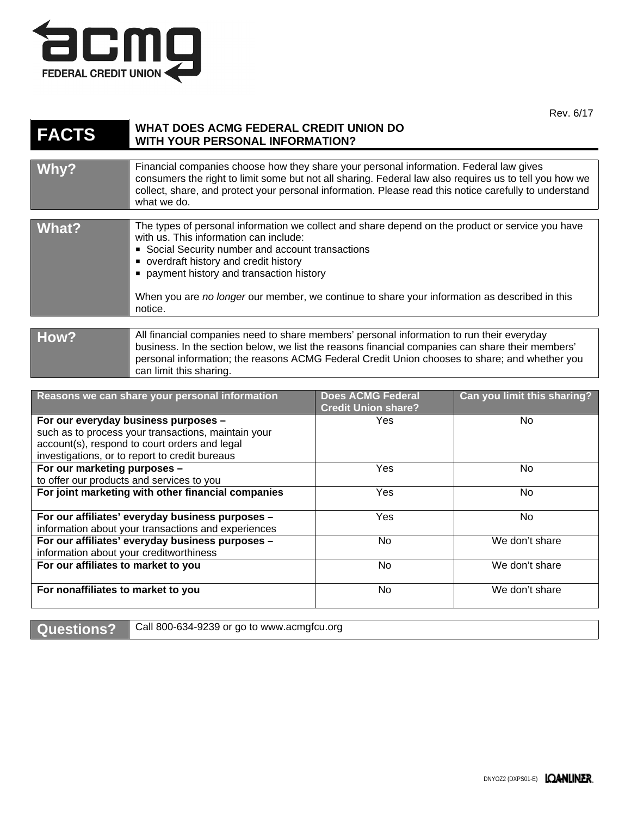

Rev. 6/17

## **FACTS** WHAT DOES ACMG FEDERAL CREDIT UNION DO **WITH YOUR PERSONAL INFORMATION?**

| Financial companies choose how they share your personal information. Federal law gives<br>Why?<br>consumers the right to limit some but not all sharing. Federal law also requires us to tell you how we<br>collect, share, and protect your personal information. Please read this notice carefully to understand<br>what we do. |
|-----------------------------------------------------------------------------------------------------------------------------------------------------------------------------------------------------------------------------------------------------------------------------------------------------------------------------------|
|-----------------------------------------------------------------------------------------------------------------------------------------------------------------------------------------------------------------------------------------------------------------------------------------------------------------------------------|

| What?          | The types of personal information we collect and share depend on the product or service you have<br>with us. This information can include:<br>• Social Security number and account transactions<br>• overdraft history and credit history<br>payment history and transaction history<br>When you are no longer our member, we continue to share your information as described in this<br>notice. |
|----------------|--------------------------------------------------------------------------------------------------------------------------------------------------------------------------------------------------------------------------------------------------------------------------------------------------------------------------------------------------------------------------------------------------|
| $\blacksquare$ | All financial companies need to share members' personal information to run their evenidave                                                                                                                                                                                                                                                                                                       |

## How? All financial companies need to share members' personal information to run their everyday business. In the section below, we list the reasons financial companies can share their members' personal information; the reasons ACMG Federal Credit Union chooses to share; and whether you can limit this sharing.

| Reasons we can share your personal information      | <b>Does ACMG Federal</b><br><b>Credit Union share?</b> | Can you limit this sharing? |
|-----------------------------------------------------|--------------------------------------------------------|-----------------------------|
| For our everyday business purposes -                | Yes                                                    | No.                         |
| such as to process your transactions, maintain your |                                                        |                             |
| account(s), respond to court orders and legal       |                                                        |                             |
| investigations, or to report to credit bureaus      |                                                        |                             |
| For our marketing purposes -                        | Yes                                                    | No.                         |
| to offer our products and services to you           |                                                        |                             |
| For joint marketing with other financial companies  | Yes                                                    | No.                         |
|                                                     |                                                        |                             |
| For our affiliates' everyday business purposes -    | Yes                                                    | No                          |
| information about your transactions and experiences |                                                        |                             |
| For our affiliates' everyday business purposes -    | No.                                                    | We don't share              |
| information about your creditworthiness             |                                                        |                             |
| For our affiliates to market to you                 | No.                                                    | We don't share              |
|                                                     |                                                        |                             |
| For nonaffiliates to market to you                  | No.                                                    | We don't share              |

Questions? | Call 800-634-9239 or go to www.acmgfcu.org